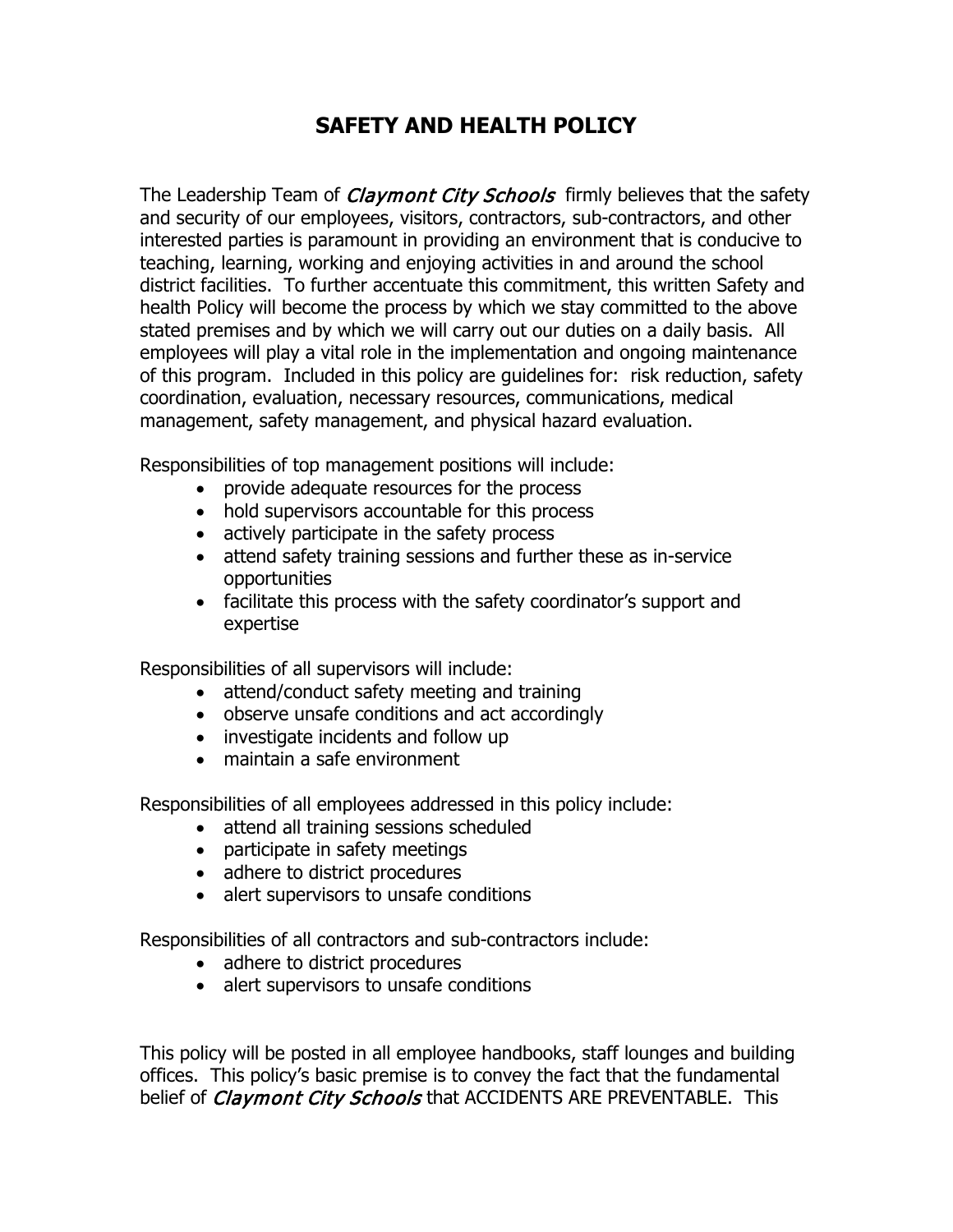## **SAFETY AND HEALTH POLICY**

The Leadership Team of *Claymont City Schools* firmly believes that the safety and security of our employees, visitors, contractors, sub-contractors, and other interested parties is paramount in providing an environment that is conducive to teaching, learning, working and enjoying activities in and around the school district facilities. To further accentuate this commitment, this written Safety and health Policy will become the process by which we stay committed to the above stated premises and by which we will carry out our duties on a daily basis. All employees will play a vital role in the implementation and ongoing maintenance of this program. Included in this policy are guidelines for: risk reduction, safety coordination, evaluation, necessary resources, communications, medical management, safety management, and physical hazard evaluation.

Responsibilities of top management positions will include:

- provide adequate resources for the process
- hold supervisors accountable for this process
- actively participate in the safety process
- attend safety training sessions and further these as in-service opportunities
- facilitate this process with the safety coordinator's support and expertise

Responsibilities of all supervisors will include:

- attend/conduct safety meeting and training
- observe unsafe conditions and act accordingly
- investigate incidents and follow up
- maintain a safe environment

Responsibilities of all employees addressed in this policy include:

- attend all training sessions scheduled
- participate in safety meetings
- adhere to district procedures
- alert supervisors to unsafe conditions

Responsibilities of all contractors and sub-contractors include:

- adhere to district procedures
- alert supervisors to unsafe conditions

This policy will be posted in all employee handbooks, staff lounges and building offices. This policy's basic premise is to convey the fact that the fundamental belief of *Claymont City Schools* that ACCIDENTS ARE PREVENTABLE. This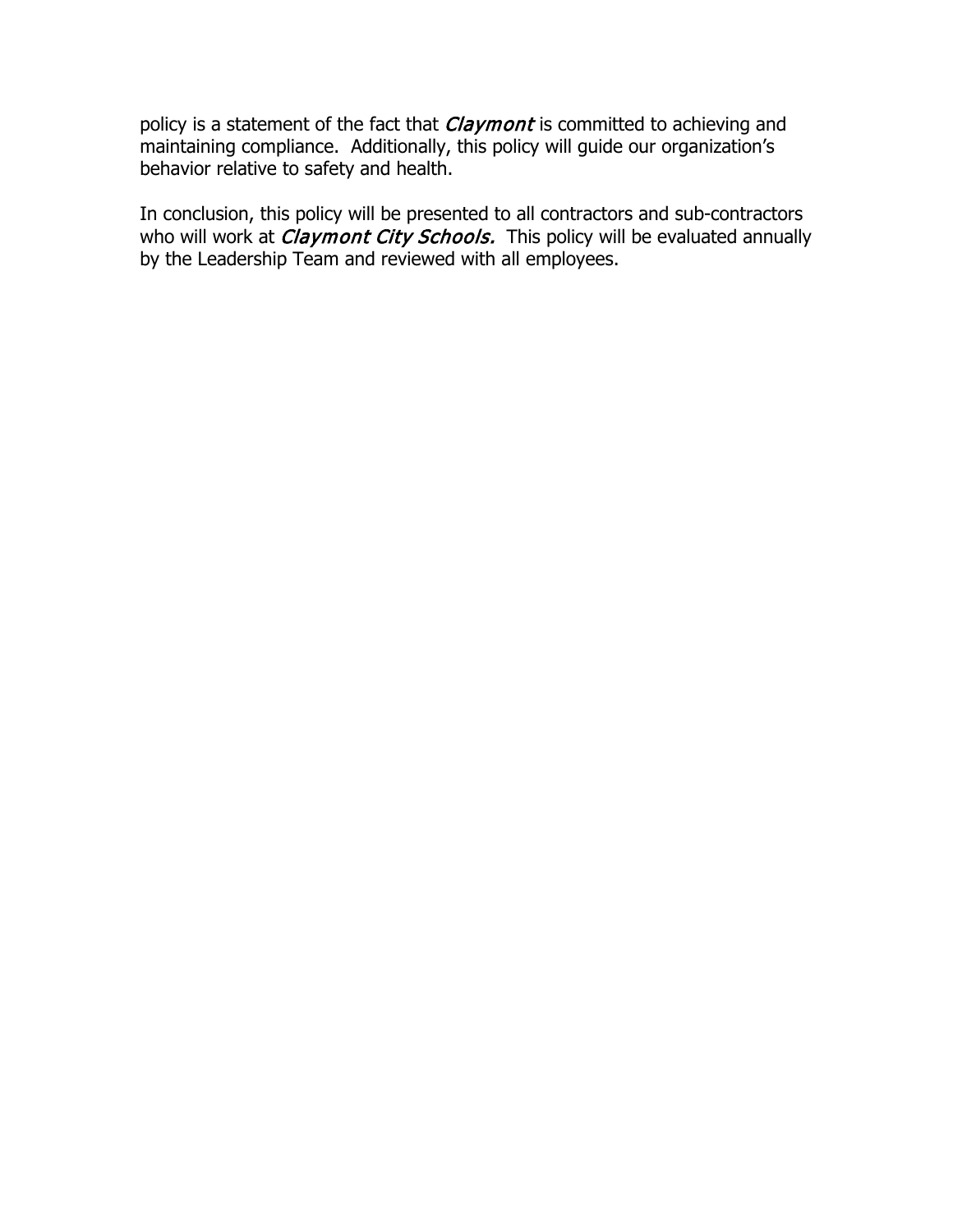policy is a statement of the fact that *Claymont* is committed to achieving and maintaining compliance. Additionally, this policy will guide our organization's behavior relative to safety and health.

In conclusion, this policy will be presented to all contractors and sub-contractors who will work at *Claymont City Schools*. This policy will be evaluated annually by the Leadership Team and reviewed with all employees.